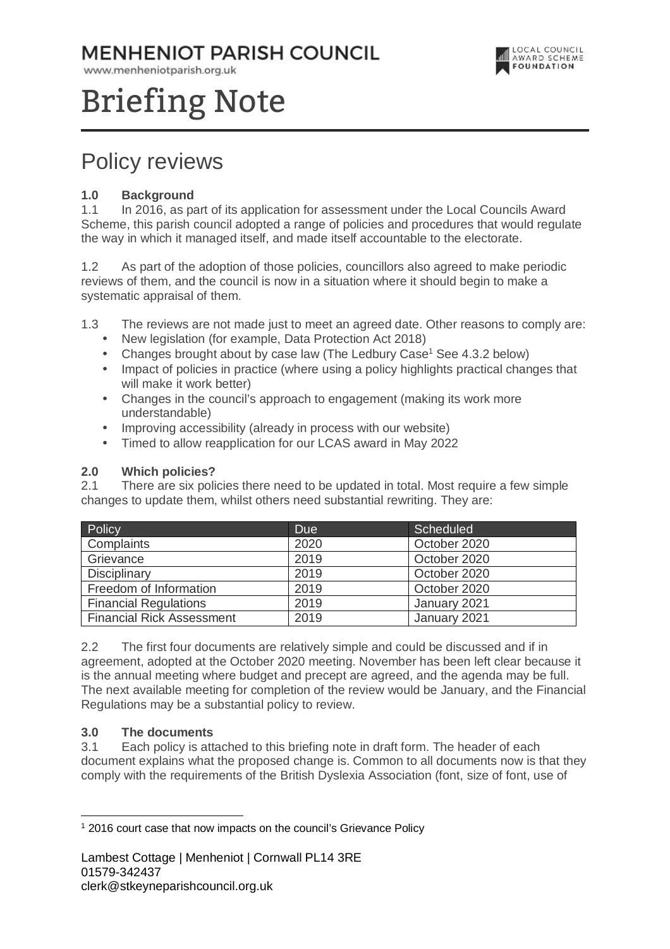### **MENHENIOT PARISH COUNCIL**

www.menheniotparish.org.uk



# Briefing Note

## Policy reviews

#### **1.0 Background**

1.1 In 2016, as part of its application for assessment under the Local Councils Award Scheme, this parish council adopted a range of policies and procedures that would regulate the way in which it managed itself, and made itself accountable to the electorate.

1.2 As part of the adoption of those policies, councillors also agreed to make periodic reviews of them, and the council is now in a situation where it should begin to make a systematic appraisal of them.

- 1.3 The reviews are not made just to meet an agreed date. Other reasons to comply are:
	- New legislation (for example, Data Protection Act 2018)
	- Changes brought about by case law (The Ledbury Case<sup>1</sup> See 4.3.2 below)
	- Impact of policies in practice (where using a policy highlights practical changes that will make it work better)
	- Changes in the council's approach to engagement (making its work more understandable)
	- Improving accessibility (already in process with our website)
	- Timed to allow reapplication for our LCAS award in May 2022

#### **2.0 Which policies?**

2.1 There are six policies there need to be updated in total. Most require a few simple changes to update them, whilst others need substantial rewriting. They are:

| Policy                           | <b>Due</b> | Scheduled    |
|----------------------------------|------------|--------------|
| Complaints                       | 2020       | October 2020 |
| Grievance                        | 2019       | October 2020 |
| <b>Disciplinary</b>              | 2019       | October 2020 |
| Freedom of Information           | 2019       | October 2020 |
| <b>Financial Regulations</b>     | 2019       | January 2021 |
| <b>Financial Rick Assessment</b> | 2019       | January 2021 |

2.2 The first four documents are relatively simple and could be discussed and if in agreement, adopted at the October 2020 meeting. November has been left clear because it is the annual meeting where budget and precept are agreed, and the agenda may be full. The next available meeting for completion of the review would be January, and the Financial Regulations may be a substantial policy to review.

#### **3.0 The documents**

3.1 Each policy is attached to this briefing note in draft form. The header of each document explains what the proposed change is. Common to all documents now is that they comply with the requirements of the British Dyslexia Association (font, size of font, use of

 $\overline{a}$ <sup>1</sup> 2016 court case that now impacts on the council's Grievance Policy